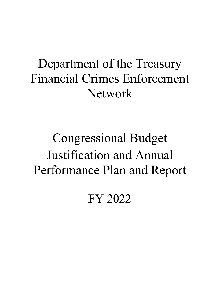# Department of the Treasury Financial Crimes Enforcement Network

# Congressional Budget Justification and Annual Performance Plan and Report

FY 2022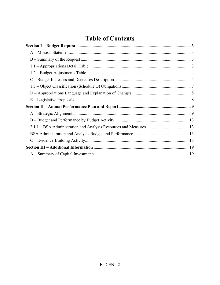# **Table of Contents**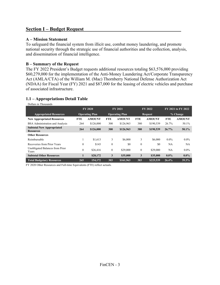### **Section I – Budget Request**

#### **A – Mission Statement**

To safeguard the financial system from illicit use, combat money laundering, and promote national security through the strategic use of financial authorities and the collection, analysis, and dissemination of financial intelligence.

#### **B – Summary of the Request**

The FY 2022 President's Budget requests additional resources totaling \$63,576,000 providing \$60,279,000 for the implementation of the Anti-Money Laundering Act/Corporate Transparency Act (AMLA/CTA) of the William M. (Mac) Thornberry National Defense Authorization Act (NDAA) for Fiscal Year (FY) 2021 and \$87,000 for the leasing of electric vehicles and purchase of associated infrastructure.

#### **1.1 – Appropriations Detail Table**

Dollars in Thousands **FY 2020 FY 2021 FY 2021 FY 2022 FY 2021** to FY 2022 **Appropriated Resources Operating Plan Operating Plan Request % Change New Appropriated Resources FTE AMOUNT FTE AMOUNT FTE AMOUNT FTE AMOUNT**  BSA Administration and Analysis 264 \$126,000 300 \$126,963 380 \$190,539 26.7% 50.1% **Subtotal New Appropriated Resources 264 \$126,000 300 \$126,963 380 \$190,539 26.7% 50.1% Other Resources**  Reimbursable 1 \$1,613 3 \$6,000 3 \$6,000 0.0% 0.0% Recoveries from Prior Years **0** \$143 0 \$0 0 \$0 NA NA Unobligated Balances from Prior Enformation Christmas Christmas Christmas Christmas Christmas Christmas Christmas Christmas Christmas Christmas Christmas Christmas Christmas Christmas Christmas Christmas Christmas Christmas Christmas Christmas Christmas **Subtotal Other Resources 1 \$28,172 3 \$35,000 3 \$35,000 0.0% 0.0% Total Budgetary Resources 265 154,172 303 \$161,963 383 \$225,539 26.4% 39.3%** 

FY 2020 Other Resources and Full-time Equivalents (FTE) reflect actuals.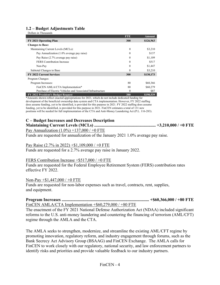#### **1.2 – Budget Adjustments Table**

| Dollars in Thousands                                        |            |           |
|-------------------------------------------------------------|------------|-----------|
|                                                             | <b>FTE</b> | Amount    |
| FY 2021 Operating Plan                                      | 300        | \$126,963 |
| <b>Changes to Base:</b>                                     |            |           |
| Maintaining Current Levels (MCLs):                          | $\theta$   | \$3,210   |
| Pay Annualization (1.0% average pay raise)                  | $\theta$   | \$137     |
| Pay Raise (2.7% average pay raise)                          | $\theta$   | \$1,109   |
| <b>FERS</b> Contribution Increase                           | $\Omega$   | \$517     |
| Non-Pay                                                     | $\theta$   | \$1,447   |
| Subtotal Changes to Base                                    | 0          | \$3,210   |
| <b>FY 2022 Current Services</b>                             | 300        | \$130,173 |
| Program Changes:                                            |            |           |
| Program Increases:                                          | 80         | \$60,366  |
| FinCEN AMLA/CTA Implementation*                             | 80         | \$60,279  |
| Purchase of Electric Vehicles and Associated Infrastructure | 0          | \$87      |
| FY 2022 President's Budget Request                          | 380        | \$190,539 |

\*Amounts shown reflect enacted appropriations for 2021, which do not include dedicated funding for development of the beneficial ownership data system and CTA implementation. However, FY 2022 staffing does assume funding, yet to be identified, is provided for this purpose in 2021. FY 2022 staffing does assume funding, yet to be identified, is provided for this purpose in 2021. FinCEN estimates a total of 131 new positions will be needed for full implementation of the CTA and Anti-Money Laundering Act (P.L. 116-283).

#### **C – Budget Increases and Decreases Description**

### **Maintaining Current Levels (MCLs) ......................................................... +3,210,000 / +0 FTE**

Pay Annualization  $(1.0\%) +137,000 / +0$  FTE

Funds are requested for annualization of the January 2021 1.0% average pay raise.

#### Pay Raise (2.7% in 2022) +\$1,109,000 / +0 FTE

Funds are requested for a 2.7% average pay raise in January 2022.

#### FERS Contribution Increase +\$517,000 / +0 FTE

Funds are requested for the Federal Employee Retirement System (FERS) contribution rates effective FY 2022.

#### Non-Pay +\$1,447,000 / +0 FTE

Funds are requested for non-labor expenses such as travel, contracts, rent, supplies, and equipment.

**Program Increases ................................................................................. +\$60,366,000 / +80 FTE**  FinCEN AMLA/CTA Implementation +\$60,279,000 / +80 FTE

The enactment of the FY 2021 National Defense Authorization Act (NDAA) included significant reforms to the U.S. anti-money laundering and countering the financing of terrorism (AML/CFT) regime through the AMLA and the CTA.

The AMLA seeks to strengthen, modernize, and streamline the existing AML/CFT regime by promoting innovation, regulatory reform, and industry engagement through forums, such as the Bank Secrecy Act Advisory Group (BSAAG) and FinCEN Exchange. The AMLA calls for FinCEN to work closely with our regulatory, national security, and law enforcement partners to identify risks and priorities and provide valuable feedback to our industry partners.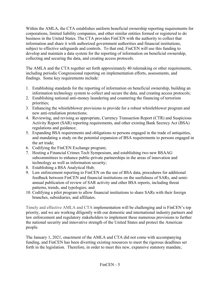Within the AMLA, the CTA establishes uniform beneficial ownership reporting requirements for corporations, limited liability companies, and other similar entities formed or registered to do business in the United States. The CTA provides FinCEN with the authority to collect that information and share it with authorized government authorities and financial institutions, subject to effective safeguards and controls. To that end, FinCEN will use this funding to develop and maintain a data system for the reporting of information on beneficial ownership, collecting and securing the data, and creating access protocols.

The AMLA and the CTA together set forth approximately 40 rulemaking or other requirements, including periodic Congressional reporting on implementation efforts, assessments, and findings. Some key requirements include:

- 1. Establishing standards for the reporting of information on beneficial ownership, building an information technology system to collect and secure the data, and creating access protocols;
- 2. Establishing national anti-money laundering and countering the financing of terrorism priorities;
- 3. Enhancing the whistleblower provisions to provide for a robust whistleblower program and new anti-retaliation protections;
- 4. Reviewing, and revising as appropriate, Currency Transaction Report (CTR) and Suspicious Activity Report (SAR) reporting requirements, and other existing Bank Secrecy Act (BSA) regulations and guidance;
- 5. Expanding BSA requirements and obligations to persons engaged in the trade of antiquities, and mandating a study on the potential expansion of BSA requirements to persons engaged in the art trade;
- 6. Codifying the FinCEN Exchange program;
- 7. Hosting a Financial Crimes Tech Symposium, and establishing two new BSAAG subcommittees to enhance public-private partnerships in the areas of innovation and technology as well as information security;
- 8. Establishing a BSA Analytical Hub;
- 9. Law enforcement reporting to FinCEN on the use of BSA data, procedures for additional feedback between FinCEN and financial institutions on the usefulness of SARs, and semiannual publication of review of SAR activity and other BSA reports, including threat patterns, trends, and typologies; and
- 10. Codifying a pilot program to allow financial institutions to share SARs with their foreign branches, subsidiaries, and affiliates.

Timely and effective AMLA and CTA implementation will be challenging and is FinCEN's top priority, and we are working diligently with our domestic and international industry partners and law enforcement and regulatory stakeholders to implement these numerous provisions to further the national security and innovative strength of the United States and protect the American people.

The January 1, 2021, enactment of the AMLA and CTA did not come with accompanying funding, and FinCEN has been diverting existing resources to meet the rigorous deadlines set forth in the legislation. Therefore, in order to meet this new, expansive statutory mandate,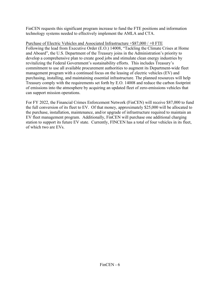FinCEN requests this significant program increase to fund the FTE positions and information technology systems needed to effectively implement the AMLA and CTA.

Purchase of Electric Vehicles and Associated Infrastructure +\$87,000 / +0 FTE Following the lead from Executive Order (E.O.) 14008, "Tackling the Climate Crises at Home and Aboard", the U.S. Department of the Treasury joins in the Administration's priority to develop a comprehensive plan to create good jobs and stimulate clean energy industries by revitalizing the Federal Government's sustainability efforts. This includes Treasury's commitment to use all available procurement authorities to augment its Department-wide fleet management program with a continued focus on the leasing of electric vehicles (EV) and purchasing, installing, and maintaining essential infrastructure. The planned resources will help Treasury comply with the requirements set forth by E.O. 14008 and reduce the carbon footprint of emissions into the atmosphere by acquiring an updated fleet of zero-emissions vehicles that can support mission operations.

For FY 2022, the Financial Crimes Enforcement Network (FinCEN) will receive \$87,000 to fund the full conversion of its fleet to EV. Of that money, approximately \$25,000 will be allocated to the purchase, installation, maintenance, and/or upgrade of infrastructure required to maintain an EV fleet management program. Additionally, FinCEN will purchase one additional charging station to support its future EV state. Currently, FINCEN has a total of four vehicles in its fleet, of which two are EVs.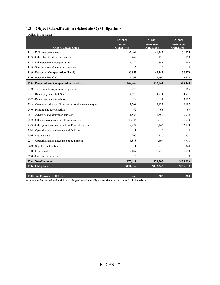# **1.3 – Object Classification (Schedule O) Obligations**

| Dollars in Thousands                                        |                                                       |                                                          |                                                   |
|-------------------------------------------------------------|-------------------------------------------------------|----------------------------------------------------------|---------------------------------------------------|
| <b>Object Classification</b>                                | <b>FY 2020</b><br><b>Actual</b><br><b>Obligations</b> | <b>FY 2021</b><br><b>Estimated</b><br><b>Obligations</b> | FY 2022<br><b>Estimated</b><br><b>Obligations</b> |
| 11.1 - Full-time permanent                                  | 35,409                                                | 41,247                                                   | 51,975                                            |
| 11.3 - Other than full-time permanent                       | 409                                                   | 150                                                      | 150                                               |
| 11.5 - Other personnel compensation                         | 1,032                                                 | 845                                                      | 845                                               |
| 11.8 - Special personal services payments                   | 5                                                     | $\mathbf{0}$                                             | $\bf{0}$                                          |
| 11.9 - Personnel Compensation (Total)                       | 36,855                                                | 42,242                                                   | 52,970                                            |
| 12.0 - Personnel benefits                                   | 12,093                                                | 12,799                                                   | 15,479                                            |
| <b>Total Personnel and Compensation Benefits</b>            | \$48,948                                              | \$55,041                                                 | \$68,449                                          |
| 21.0 - Travel and transportation of persons                 | 276                                                   | 816                                                      | 1,155                                             |
| 23.1 - Rental payments to GSA                               | 4,570                                                 | 4,971                                                    | 4,971                                             |
| 23.2 - Rental payments to others                            | 29                                                    | 51                                                       | 3,192                                             |
| 23.3 - Communications, utilities, and miscellaneous charges | 2,508                                                 | 2,137                                                    | 2,187                                             |
| 24.0 - Printing and reproduction                            | 62                                                    | 65                                                       | 67                                                |
| 25.1 - Advisory and assistance services                     | 1,588                                                 | 1,552                                                    | 9,938                                             |
| 25.2 - Other services from non-Federal sources              | 40,984                                                | 46,638                                                   | 76,570                                            |
| 25.3 - Other goods and services from Federal sources        | 8,972                                                 | 10,143                                                   | 12,939                                            |
| 25.4 - Operation and maintenance of facilities              | 1                                                     | $\mathbf{0}$                                             | $\mathbf{0}$                                      |
| 25.6 - Medical care                                         | 200                                                   | 226                                                      | 231                                               |
| 25.7 - Operation and maintenance of equipment               | 8,878                                                 | 9,497                                                    | 9,718                                             |
| 26.0 - Supplies and materials                               | 351                                                   | 278                                                      | 324                                               |
| 31.0 - Equipment                                            | 7,187                                                 | 1,928                                                    | 6,798                                             |
| 32.0 - Land and structures                                  | 5                                                     | $\mathbf{0}$                                             | $\mathbf{0}$                                      |
| <b>Total Non-Personnel</b>                                  | \$75,611                                              | \$78,302                                                 | \$128,090                                         |
| <b>Total Obligations</b>                                    | \$124,559                                             | \$133,343                                                | \$196,539                                         |
|                                                             |                                                       |                                                          |                                                   |

**Full-time Equivalents (FTE)** 383 383 Amounts reflect actual and anticipated obligations of annually appropriated resources and reimbursables.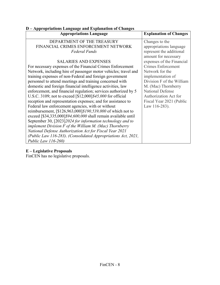| D – Appropriations Language and Explanation of Changes          |                               |  |  |  |
|-----------------------------------------------------------------|-------------------------------|--|--|--|
| <b>Appropriations Language</b>                                  | <b>Explanation of Changes</b> |  |  |  |
| DEPARTMENT OF THE TREASURY                                      | Changes to the                |  |  |  |
| FINANCIAL CRIMES ENFORCEMENT NETWORK                            | appropriations language       |  |  |  |
| <b>Federal Funds</b>                                            | represent the additional      |  |  |  |
|                                                                 | amount for necessary          |  |  |  |
| <b>SALARIES AND EXPENSES</b>                                    | expenses of the Financial     |  |  |  |
| For necessary expenses of the Financial Crimes Enforcement      | <b>Crimes Enforcement</b>     |  |  |  |
| Network, including hire of passenger motor vehicles; travel and | Network for the               |  |  |  |
| training expenses of non-Federal and foreign government         | implementation of             |  |  |  |
| personnel to attend meetings and training concerned with        | Division F of the William     |  |  |  |
| domestic and foreign financial intelligence activities, law     | M. (Mac) Thornberry           |  |  |  |
| enforcement, and financial regulation; services authorized by 5 | <b>National Defense</b>       |  |  |  |
| U.S.C. 3109; not to exceed [\$12,000]\$45,000 for official      | Authorization Act for         |  |  |  |
| reception and representation expenses; and for assistance to    | Fiscal Year 2021 (Public      |  |  |  |
| Federal law enforcement agencies, with or without               | Law 116-283).                 |  |  |  |
| reimbursement, [\$126,963,000]\$190,539,000 of which not to     |                               |  |  |  |
| exceed [\$34,335,000]\$94,600,000 shall remain available until  |                               |  |  |  |
| September 30, [2023] 2024 for information technology and to     |                               |  |  |  |
| implement Division $F$ of the William M. (Mac) Thornberry       |                               |  |  |  |
| National Defense Authorization Act for Fiscal Year 2021         |                               |  |  |  |
| (Public Law 116-283). (Consolidated Appropriations Act, 2021,   |                               |  |  |  |
| <i>Public Law 116-260)</i>                                      |                               |  |  |  |

#### **E – Legislative Proposals**

FinCEN has no legislative proposals.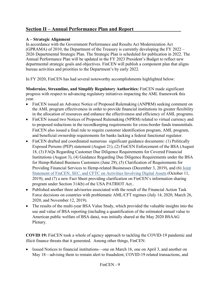# **Section II – Annual Performance Plan and Report**

#### **A – Strategic Alignment**

In accordance with the Government Performance and Results Act Modernization Act (GPRAMA) of 2010, the Department of the Treasury is currently developing the FY 2022 – 2026 Departmental Strategic Plan. The Strategic Plan is scheduled for publication in 2022. The Annual Performance Plan will be updated in the FY 2023 President's Budget to reflect new departmental strategic goals and objectives. FinCEN will publish a component plan that aligns bureau activities and priorities to the Department's by early 2022.

In FY 2020, FinCEN has had several noteworthy accomplishments highlighted below:

**Modernize, Streamline, and Simplify Regulatory Authorities:** FinCEN made significant progress with respect to advancing regulatory initiatives impacting the AML framework this year.

- FinCEN issued an Advance Notice of Proposed Rulemaking (ANPRM) seeking comment on the AML program effectiveness in order to provide financial institutions its greater flexibility in the allocation of resources and enhance the effectiveness and efficiency of AML programs.
- FinCEN issued two Notices of Proposed Rulemaking (NPRM) related to virtual currency and to proposed reductions in the recordkeeping requirements for cross-border funds transmittals. FinCEN also issued a final rule to require customer identification program, AML program, and beneficial ownership requirements for banks lacking a federal functional regulator.
- FinCEN drafted and coordinated numerous significant guidance documents: (1) Politically Exposed Persons (PEP) statement (August 21), (2) FinCEN Enforcement of the BSA (August 18, (3) FAQs Regarding Customer Due Diligence Requirements for Covered Financial Institutions (August 3), (4) Guidance Regarding Due Diligence Requirements under the BSA for Hemp-Related Business Customers (June 29), (5) Clarification of Requirements for Providing Financial Services to Hemp-related Businesses (December 3, 2019), and (6) Joint Statement of FinCEN, SEC, and CFTC on Activities Involving Digital Assets (October 11, 2019); and (7) a new Fact Sheet providing clarification on FinCEN's information sharing program under Section 314(b) of the USA PATRIOT Act..
- Published another three advisories associated with the result of the Financial Action Task Force decisions on countries with problematic AML/CFT regimes (July 14, 2020, March 26, 2020, and November 12, 2019).
- The results of the multi-year BSA Value Study, which provided the valuable insights into the use and value of BSA reporting (including a quantification of the estimated annual value to American public welfare of BSA data), was initially shared at the May 2020 BSAAG Plenary.

**COVID 19:** FinCEN took a whole of agency approach to tackling the COVID-19 pandemic and illicit finance threats that it generated. Among other things, FinCEN:

• Issued Notices to financial institutions—one on March 16, one on April 3, and another on May 18—advising them to remain alert to fraudulent, COVID-19 related transactions, and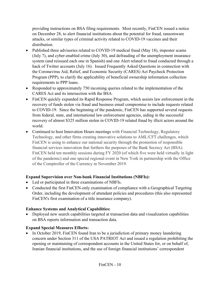providing instructions on BSA filing requirements. Most recently, FinCEN issued a notice on December 28, to alert financial institutions about the potential for fraud, ransomware attacks, or similar types of criminal activity related to COVID-19 vaccines and their distribution.

- Published three advisories related to COVID-19 medical fraud (May 18), imposter scams (July 7), and cyber-enabled crime (July 30), and defrauding of the unemployment insurance system (and reissued each one in Spanish) and one Alert related to fraud conducted through a hack of Twitter accounts (July 16). Issued Frequently Asked Questions in connection with the Coronavirus Aid, Relief, and Economic Security (CARES) Act Paycheck Protection Program (PPP), to clarify the applicability of beneficial ownership information collection requirements to PPP loans.
- Responded to approximately 750 incoming queries related to the implementation of the CARES Act and its intersection with the BSA.
- FinCEN quickly expanded its Rapid Response Program, which assists law enforcement in the recovery of funds stolen via fraud and business email compromise to include requests related to COVID-19. Since the beginning of the pandemic, FinCEN has supported several requests from federal, state, and international law enforcement agencies, aiding in the successful recovery of almost \$325 million stolen in COVID-19 related fraud by illicit actors around the world.
- Continued to host Innovation Hours meetings with Financial Technology, Regulatory Technology, and other firms creating innovative solutions to AML/CFT challenges, which FinCEN is using to enhance our national security through the promotion of responsible financial services innovation that furthers the purposes of the Bank Secrecy Act (BSA). FinCEN held ten monthly sessions during FY 2020 (of which five were held virtually in light of the pandemic) and one special regional event in New York in partnership with the Office of the Comptroller of the Currency in November 2019.

# **Expand Supervision over Non-bank Financial Institutions (NBFIs):**

- Led or participated in three examinations of NBFIs.
- Conducted the first FinCEN-only examination of compliance with a Geographical Targeting Order, including the development of attendant policies and procedures (this also represented FinCEN's first examination of a title insurance company).

# **Enhance Systems and Analytical Capabilities:**

• Deployed new search capabilities targeted at transaction data and visualization capabilities on BSA reports information and transaction data.

# **Expand Special Measures Efforts:**

• In October 2019, FinCEN found Iran to be a jurisdiction of primary money laundering concern under Section 311 of the USA PATRIOT Act and issued a regulation prohibiting the opening or maintaining of correspondent accounts in the United States for, or on behalf of, Iranian financial institutions, and the use of foreign financial institutions' correspondent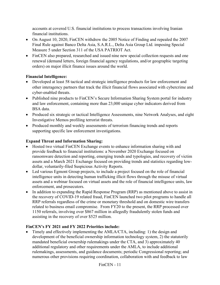accounts at covered U.S. financial institutions to process transactions involving Iranian financial institutions.

- On August 10, 2020, FinCEN withdrew the 2005 Notice of Finding and repealed the 2007 Final Rule against Banco Delta Asia, S.A.R.L., Delta Asia Group Ltd. imposing Special Measure 5 under Section 311 of the USA PATRIOT Act.
- FinCEN also prepared, researched and issued nine new special collection requests and one renewal (demand letters, foreign financial agency regulations, and/or geographic targeting orders) on major illicit finance issues around the world.

# **Financial Intelligence:**

- Developed at least 58 tactical and strategic intelligence products for law enforcement and other interagency partners that track the illicit financial flows associated with cybercrime and cyber-enabled threats.
- Published nine products to FinCEN's Secure Information Sharing System portal for industry and law enforcement, containing more than 23,000 unique cyber indicators derived from BSA data.
- Produced six strategic or tactical Intelligence Assessments, nine Network Analyses, and eight Investigative Memos profiling terrorist threats.
- Produced monthly and weekly assessments of terrorism financing trends and reports supporting specific law enforcement investigations.

# **Expand Threat and Information Sharing:**

- Hosted two virtual FinCEN Exchange events to enhance information sharing with and provide feedback to financial institutions: a November 2020 Exchange focused on ransomware detection and reporting, emerging trends and typologies, and recovery of victim assets and a March 2021 Exchange focused on providing trends and statistics regarding lowdollar, voluntarily-filed Suspicious Activity Reports.
- Led various Egmont Group projects, to include a project focused on the role of financial intelligence units in detecting human trafficking illicit flows through the misuse of virtual assets and a webinar focused on virtual assets and the role of financial intelligence units, law enforcement, and prosecutors.
- In addition to expanding the Rapid Response Program (RRP) as mentioned above to assist in the recovery of COVID-19 related fraud, FinCEN launched two pilot programs to handle all RRP referrals regardless of the crime or monetary threshold and on domestic wire transfers related to business email compromise. From FY20 to the present, the RRP processed over 1150 referrals, involving over \$867 million in allegedly fraudulently stolen funds and assisting in the recovery of over \$525 million.

# **FinCEN's FY 2021 and FY 2022 Priorities include:**

 Timely and effectively implementing the AMLA/CTA, including: 1) the design and development of the beneficial ownership information technology system, 2) the statutorily mandated beneficial ownership rulemakings under the CTA, and 3) approximately 40 additional regulatory and other requirements under the AMLA, to include additional rulemakings, assessments, and guidance documents; periodic Congressional reporting; and numerous other provisions requiring coordination, collaboration with and feedback to law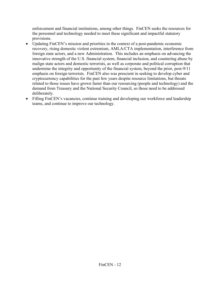enforcement and financial institutions, among other things. FinCEN seeks the resources for the personnel and technology needed to meet these significant and impactful statutory provisions.

- Updating FinCEN's mission and priorities in the context of a post-pandemic economic recovery, rising domestic violent extremism, AMLA/CTA implementation, interference from foreign state actors, and a new Administration. This includes an emphasis on advancing the innovative strength of the U.S. financial system, financial inclusion, and countering abuse by malign state actors and domestic terrorists, as well as corporate and political corruption that undermine the integrity and opportunity of the financial system, beyond the prior, post-9/11 emphasis on foreign terrorists. FinCEN also was prescient in seeking to develop cyber and cryptocurrency capabilities for the past few years despite resource limitations, but threats related to those issues have grown faster than our resourcing (people and technology) and the demand from Treasury and the National Security Council, so those need to be addressed deliberately.
- Filling FinCEN's vacancies, continue training and developing our workforce and leadership teams, and continue to improve our technology.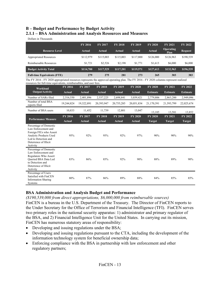#### **B – Budget and Performance by Budget Activity 2.1.1 – BSA Administration and Analysis Resources and Measures**

Dollars in Thousands

|                                                                                                                                                                                                             |                | FY 2016       | FY 2017        | <b>FY 2018</b> | FY 2019        | <b>FY 2020</b>  | FY 2021           | FY 2022         |
|-------------------------------------------------------------------------------------------------------------------------------------------------------------------------------------------------------------|----------------|---------------|----------------|----------------|----------------|-----------------|-------------------|-----------------|
| <b>Resource Level</b>                                                                                                                                                                                       |                | <b>Actual</b> | Actual         | Actual         | <b>Actual</b>  | <b>Actual</b>   | Operating<br>Plan | <b>Request</b>  |
| <b>Appropriated Resources</b>                                                                                                                                                                               |                | \$112,979     | \$115,003      | \$115,003      | \$117,800      | \$126,000       | \$126,963         | \$190,539       |
| Reimbursable Resources                                                                                                                                                                                      |                | \$1,721       | \$2,526        | \$2,198        | \$1,771        | \$1,613         | \$6,000           | \$6,000         |
| <b>Budget Activity Total</b>                                                                                                                                                                                |                | \$114,700     | \$117,529      | \$117,201      | \$119,571      | \$127,613       | \$132,963         | \$196,539       |
| <b>Full-time Equivalents (FTE)</b>                                                                                                                                                                          |                | 279           | 275            | 281            | 273            | 265             | 303               | 383             |
| The FY 2016 - FY 2020 appropriated resources represents the approved operating plan. The FY 2016 - FY 2020 columns represent realized<br>resources for full-time equivalents, reimbursables, and user fees. |                |               |                |                |                |                 |                   |                 |
| Workload                                                                                                                                                                                                    | <b>FY 2016</b> | FY 2017       | <b>FY 2018</b> | <b>FY 2019</b> | <b>FY 2020</b> | <b>FY 2020</b>  | <b>FY 2021</b>    | FY 2022         |
| <b>Output/Activity</b>                                                                                                                                                                                      | <b>Actual</b>  | <b>Actual</b> | <b>Actual</b>  | <b>Actual</b>  | <b>Actual</b>  | <b>Estimate</b> | <b>Estimate</b>   | <b>Estimate</b> |
| Number of SARs filed                                                                                                                                                                                        | 2,316,550      | 2,401,896     | 2,537,225      | 2,698,841      | 3,039,421      | 2,779,806       | 2,863,200         | 2,949,096       |
| Number of total BSA<br>reports filed                                                                                                                                                                        | 19,244,824     | 19,322,891    | 20,393,947     | 20,755,285     | 20,051,834     | 21,170,391      | 21,593,799        | 22,025,674      |
| Number of BSA users                                                                                                                                                                                         | 10,833         | 11,452        | 11,739         | 12,801         | 13,047         | 13,185          | 13,581            | 13,852          |
|                                                                                                                                                                                                             | FY 2016        | FY 2017       | <b>FY 2018</b> | <b>FY 2019</b> | <b>FY 2020</b> | <b>FY 2020</b>  | <b>FY 2021</b>    | FY 2022         |
| <b>Performance Measure</b>                                                                                                                                                                                  | <b>Actual</b>  | Actual        | <b>Actual</b>  | Actual         | Actual         | <b>Target</b>   | Target            | Target          |
| Percentage of Domestic<br>Law Enforcement and<br>Foreign FIUs who Assert<br>Analytic Products Used<br>Led to Detection and<br>Deterrence of Illicit<br>Activity                                             | 95%            | 92%           | 95%            | 92%            | 97%            | 90%             | 90%               | 90%             |
| Percentage of Domestic<br>Law Enforcement and<br>Regulators Who Assert<br><b>Oueried BSA Data Led</b><br>to Detection and<br>Deterrence of Illicit<br>Activity                                              | 83%            | 86%           | 85%            | 92%            | 90%            | 88%             | 89%               | 90%             |
|                                                                                                                                                                                                             |                |               |                |                |                |                 |                   |                 |

#### **BSA Administration and Analysis Budget and Performance**

*(\$190,539,000 from direct appropriations, \$6,000,000 from reimbursable sources)* FinCEN is a bureau in the U.S. Department of the Treasury. The Director of FinCEN reports to the Under Secretary for the Office of Terrorism and Financial Intelligence (TFI). FinCEN serves two primary roles in the national security apparatus: 1) administrator and primary regulator of the BSA, and 2) Financial Intelligence Unit for the United States. In carrying out its mission, FinCEN has numerous statutory areas of responsibility:

- Developing and issuing regulations under the BSA;
- Developing and issuing regulations pursuant to the CTA, including the development of the information technology system for beneficial ownership data;
- Enforcing compliance with the BSA in partnership with law enforcement and other regulatory partners;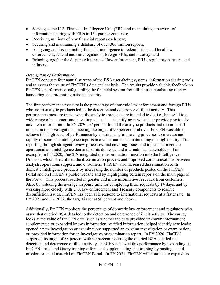- Serving as the U.S. Financial Intelligence Unit (FIU) and maintaining a network of information sharing with FIUs in 164 partner countries;
- Receiving millions of new financial reports each year;
- Securing and maintaining a database of over 300 million reports;
- Analyzing and disseminating financial intelligence to federal, state, and local law enforcement, federal and state regulators, foreign FIUs, and industry; and
- Bringing together the disparate interests of law enforcement, FIUs, regulatory partners, and industry.

### *Description of Performance:*

FinCEN conducts four annual surveys of the BSA user-facing systems, information sharing tools and to assess the value of FinCEN's data and analysis. The results provide valuable feedback on FinCEN's performance safeguarding the financial system from illicit use, combatting money laundering, and promoting national security.

The first performance measure is the percentage of domestic law enforcement and foreign FIUs who assert analytic products led to the detection and deterrence of illicit activity. This performance measure tracks what the analytics products are intended to do, i.e., be useful to a wide range of customers and have impact, such as identifying new leads or provide previously unknown information. In FY 2020, 97 percent found the analytic products and research had impact on the investigations, meeting the target of 90 percent or above. FinCEN was able to achieve this high level of performance by continuously improving processes to increase and rapidly disseminate intelligence reports to a wider audience, maintaining the high quality of its reporting through stringent review processes, and covering issues and topics that meet the operational and intelligence demands of its domestic and international stakeholders. For example, in FY 2020, FinCEN integrated the dissemination function into the Intelligence Division, which streamlined the dissemination process and improved communications between analysts, operations support, and customers. FinCEN also increased dissemination of its domestic intelligence products by increasing the number of products posted on the FinCEN Portal and on FinCEN's public website and by highlighting certain reports on the main page of the Portal. This process resulted in greater and more informative feedback from customers. Also, by reducing the average response time for completing these requests by 14 days, and by working more closely with U.S. law enforcement and Treasury components to resolve deconfliction issues, FinCEN has been able respond to international requests at a faster rate. In FY 2021 and FY 2022, the target is set at 90 percent and above.

Additionally, FinCEN monitors the percentage of domestic law enforcement and regulators who assert that queried BSA data led to the detection and deterrence of illicit activity. The survey looks at the value of FinCEN data, such as whether the data provided unknown information; supplemented or expanded known information; verified information; helped identify new leads; opened a new investigation or examination; supported an existing investigation or examination; or, provided information for an investigative or examination report. In FY 2020, FinCEN surpassed its target of 88 percent with 90 percent asserting the queried BSA data led the detection and deterrence of illicit activity. FinCEN achieved this performance by expanding its FinCEN Portal and Query training efforts and supplementing that training by posting useful, mission-oriented material on FinCEN Portal**.** In FY 2021, FinCEN will continue to expand its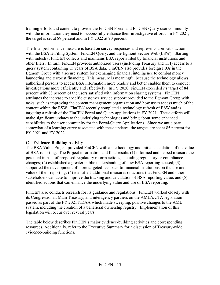training efforts and content to provide the FinCEN Portal and FinCEN Query user community with the information they need to successfully enhance their investigative efforts. In FY 2021, the target is set at 89 percent and in FY 2022 at 90 percent.

The final performance measure is based on survey responses and represents user satisfaction with the BSA E-Filing System, FinCEN Query, and the Egmont Secure Web (ESW). Starting with industry, FinCEN collects and maintains BSA reports filed by financial institutions and other filers. In turn, FinCEN provides authorized users (including Treasury and TFI) access to a query system containing 15 years of BSA data. FinCEN also provides foreign FIUs in the Egmont Group with a secure system for exchanging financial intelligence to combat money laundering and terrorist financing. This measure is meaningful because the technology allows authorized persons to access BSA information more readily and better enables them to conduct investigations more efficiently and effectively. In FY 2020, FinCEN exceeded its target of 84 percent with 88 percent of the users satisfied with information sharing systems. FinCEN attributes the increase to specific customer service support provided to the Egmont Group with tasks, such as improving the content management organization and how users access much of the content within the ESW. FinCEN recently completed a technology refresh of ESW and is targeting a refresh of the FinCEN Portal and Query applications in FY 2021. These efforts will make significant updates to the underlying technologies and bring about some enhanced capabilities to the user community for the Portal/Query Applications. Since we anticipate somewhat of a learning curve associated with these updates, the targets are set at 85 percent for FY 2021 and FY 2022.

# **C – Evidence-Building Activity**

The BSA Value Project provided FinCEN with a methodology and initial calculation of the value of BSA reporting. The Project information and final results (1) informed and helped measure the potential impact of proposed regulatory reform actions, including regulatory or compliance changes; (2) established a greater public understanding of how BSA reporting is used; (3) supported the development of more targeted feedback to financial institutions on the use and value of their reporting; (4) identified additional measures or actions that FinCEN and other stakeholders can take to improve the tracking and calculation of BSA reporting value; and (5) identified actions that can enhance the underlying value and use of BSA reporting.

FinCEN also conducts research for its guidance and regulations. FinCEN worked closely with its Congressional, Main Treasury, and interagency partners on the AMLA/CTA legislation passed as part of the FY 2021 NDAA which made sweeping, positive changes to the AML system, including the creation of a beneficial ownership registry. Implementation of this legislation will occur over several years.

The table below describes FinCEN's major evidence-building activities and corresponding resources. Additionally, refer to the Executive Summary for a discussion of Treasury-wide evidence-building functions.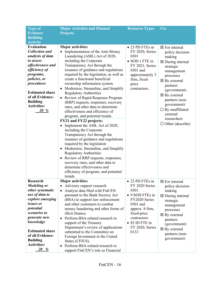| <b>Type of</b>                                                                                                                                                                                                                                             | <b>Major Activities and Planned</b>                                                                                                                                                                                                                                                                                                                                                                                                                                                                                                                                                                                                                                                                                                                                                                                                                                                                                                                                                                                             | <b>Resource Types</b>                                                                                                                                   | Use                                                                                                                                                                                                                                                                                                                              |
|------------------------------------------------------------------------------------------------------------------------------------------------------------------------------------------------------------------------------------------------------------|---------------------------------------------------------------------------------------------------------------------------------------------------------------------------------------------------------------------------------------------------------------------------------------------------------------------------------------------------------------------------------------------------------------------------------------------------------------------------------------------------------------------------------------------------------------------------------------------------------------------------------------------------------------------------------------------------------------------------------------------------------------------------------------------------------------------------------------------------------------------------------------------------------------------------------------------------------------------------------------------------------------------------------|---------------------------------------------------------------------------------------------------------------------------------------------------------|----------------------------------------------------------------------------------------------------------------------------------------------------------------------------------------------------------------------------------------------------------------------------------------------------------------------------------|
| <b>Evidence</b>                                                                                                                                                                                                                                            | <b>Projects</b>                                                                                                                                                                                                                                                                                                                                                                                                                                                                                                                                                                                                                                                                                                                                                                                                                                                                                                                                                                                                                 |                                                                                                                                                         |                                                                                                                                                                                                                                                                                                                                  |
| <b>Building</b>                                                                                                                                                                                                                                            |                                                                                                                                                                                                                                                                                                                                                                                                                                                                                                                                                                                                                                                                                                                                                                                                                                                                                                                                                                                                                                 |                                                                                                                                                         |                                                                                                                                                                                                                                                                                                                                  |
| <b>Activity</b>                                                                                                                                                                                                                                            |                                                                                                                                                                                                                                                                                                                                                                                                                                                                                                                                                                                                                                                                                                                                                                                                                                                                                                                                                                                                                                 |                                                                                                                                                         |                                                                                                                                                                                                                                                                                                                                  |
| <b>Evaluation</b><br><b>Collection and</b><br>analysis of data<br>to assess<br>effectiveness and<br>efficiency of<br>programs,<br>policies, or<br>procedures<br><b>Estimated share</b><br>of all Evidence-<br><b>Building</b><br><b>Activities:</b><br>20% | <b>Major activities:</b><br>Implementation of the Anti-Money<br>Laundering (AML) Act of 2020,<br>including the Corporate<br>Transparency Act through the<br>issuance of guidance and regulations<br>required by the legislation, as well as<br>create a functional beneficial<br>ownership information system.<br>Modernize, Streamline, and Simplify<br><b>Regulatory Authorities</b><br>• Review of Rapid Response Program<br>(RRP) requests, responses, recovery<br>rates, and other data to determine<br>effectiveness and efficiency of<br>program, and potential trends.<br>FY21 and FY22 projects:<br>Implement the AML Act of 2020,<br>including the Corporate<br>Transparency Act through the<br>issuance of guidance and regulations<br>required by the legislation<br>Modernize, Streamline, and Simplify<br>$\bullet$<br><b>Regulatory Authorities</b><br>Review of RRP requests, responses,<br>recovery rates, and other data to<br>determine effectiveness and<br>efficiency of program, and potential<br>trends. | • 23 PD FTEs in<br>FY 2020, Series<br>0301<br>• SOD 1 FTE in<br>FY 2021, Series<br>0301 and<br>approximately 3<br>firm, fixed-<br>price<br>contractors. | $\boxtimes$ For internal<br>policy decision-<br>making<br>$\boxtimes$ During internal<br>strategic<br>management<br>processes<br>$\boxtimes$ By external<br>partners<br>(government)<br>$\boxtimes$ By external<br>partners (non-<br>government)<br>$\Box$ By unaffiliated<br>external<br>researchers<br>$\Box$ Other (describe) |
| <b>Research</b>                                                                                                                                                                                                                                            | <b>Major activities:</b>                                                                                                                                                                                                                                                                                                                                                                                                                                                                                                                                                                                                                                                                                                                                                                                                                                                                                                                                                                                                        | • 23 PD FTEs in                                                                                                                                         | $\boxtimes$ For internal                                                                                                                                                                                                                                                                                                         |
| <b>Modeling or</b>                                                                                                                                                                                                                                         | • Advisory support research                                                                                                                                                                                                                                                                                                                                                                                                                                                                                                                                                                                                                                                                                                                                                                                                                                                                                                                                                                                                     | FY 2020 Series                                                                                                                                          | policy decision-                                                                                                                                                                                                                                                                                                                 |
| other systematic                                                                                                                                                                                                                                           | Analyze data filed with FinCEN                                                                                                                                                                                                                                                                                                                                                                                                                                                                                                                                                                                                                                                                                                                                                                                                                                                                                                                                                                                                  | 0301                                                                                                                                                    | making                                                                                                                                                                                                                                                                                                                           |
| use of data to                                                                                                                                                                                                                                             | pursuant to the Bank Secrecy Act                                                                                                                                                                                                                                                                                                                                                                                                                                                                                                                                                                                                                                                                                                                                                                                                                                                                                                                                                                                                | • 9 SOD FTEs in                                                                                                                                         | $\boxtimes$ During internal                                                                                                                                                                                                                                                                                                      |
| explore emerging<br><i>issues or</i>                                                                                                                                                                                                                       | (BSA) to support law enforcement                                                                                                                                                                                                                                                                                                                                                                                                                                                                                                                                                                                                                                                                                                                                                                                                                                                                                                                                                                                                | FY2020 Series                                                                                                                                           | strategic                                                                                                                                                                                                                                                                                                                        |
| potential                                                                                                                                                                                                                                                  | and other customers to combat<br>money laundering and other forms of                                                                                                                                                                                                                                                                                                                                                                                                                                                                                                                                                                                                                                                                                                                                                                                                                                                                                                                                                            | 0301 and<br>approx. 8 firm,                                                                                                                             | management                                                                                                                                                                                                                                                                                                                       |
| scenarios to                                                                                                                                                                                                                                               | illicit finance.                                                                                                                                                                                                                                                                                                                                                                                                                                                                                                                                                                                                                                                                                                                                                                                                                                                                                                                                                                                                                | fixed-price                                                                                                                                             | processes                                                                                                                                                                                                                                                                                                                        |
| generate new                                                                                                                                                                                                                                               | Perform BSA-related research in                                                                                                                                                                                                                                                                                                                                                                                                                                                                                                                                                                                                                                                                                                                                                                                                                                                                                                                                                                                                 | contractors                                                                                                                                             | $\boxtimes$ By external                                                                                                                                                                                                                                                                                                          |
| knowledge                                                                                                                                                                                                                                                  | support of the Treasury                                                                                                                                                                                                                                                                                                                                                                                                                                                                                                                                                                                                                                                                                                                                                                                                                                                                                                                                                                                                         | • 83 ID FTE in                                                                                                                                          | partners                                                                                                                                                                                                                                                                                                                         |
|                                                                                                                                                                                                                                                            | Department's review of applications                                                                                                                                                                                                                                                                                                                                                                                                                                                                                                                                                                                                                                                                                                                                                                                                                                                                                                                                                                                             | FY 2020, Series                                                                                                                                         | (government)                                                                                                                                                                                                                                                                                                                     |
| <b>Estimated share</b>                                                                                                                                                                                                                                     | submitted to the Committee on                                                                                                                                                                                                                                                                                                                                                                                                                                                                                                                                                                                                                                                                                                                                                                                                                                                                                                                                                                                                   | 0132                                                                                                                                                    | $\boxtimes$ By external                                                                                                                                                                                                                                                                                                          |
| of all Evidence-                                                                                                                                                                                                                                           | Foreign Investment in the United                                                                                                                                                                                                                                                                                                                                                                                                                                                                                                                                                                                                                                                                                                                                                                                                                                                                                                                                                                                                |                                                                                                                                                         | partners (non-<br>government)                                                                                                                                                                                                                                                                                                    |
| <b>Building</b>                                                                                                                                                                                                                                            | States (CFIUS).                                                                                                                                                                                                                                                                                                                                                                                                                                                                                                                                                                                                                                                                                                                                                                                                                                                                                                                                                                                                                 |                                                                                                                                                         |                                                                                                                                                                                                                                                                                                                                  |
| <b>Activities:</b>                                                                                                                                                                                                                                         | Perform BSA-related research to                                                                                                                                                                                                                                                                                                                                                                                                                                                                                                                                                                                                                                                                                                                                                                                                                                                                                                                                                                                                 |                                                                                                                                                         |                                                                                                                                                                                                                                                                                                                                  |
| $20 - \frac{9}{6}$                                                                                                                                                                                                                                         | support FinCEN's role as Financial                                                                                                                                                                                                                                                                                                                                                                                                                                                                                                                                                                                                                                                                                                                                                                                                                                                                                                                                                                                              |                                                                                                                                                         |                                                                                                                                                                                                                                                                                                                                  |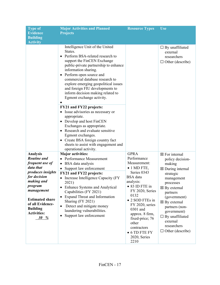| <b>Type of</b><br><b>Evidence</b>                                                   | <b>Major Activities and Planned</b><br><b>Projects</b>                                                                                                                                                                                                                                                                                                                                                     | <b>Resource Types</b>                                                                    | <b>Use</b>                                                                                                     |  |
|-------------------------------------------------------------------------------------|------------------------------------------------------------------------------------------------------------------------------------------------------------------------------------------------------------------------------------------------------------------------------------------------------------------------------------------------------------------------------------------------------------|------------------------------------------------------------------------------------------|----------------------------------------------------------------------------------------------------------------|--|
| <b>Building</b>                                                                     |                                                                                                                                                                                                                                                                                                                                                                                                            |                                                                                          |                                                                                                                |  |
| <b>Activity</b>                                                                     |                                                                                                                                                                                                                                                                                                                                                                                                            |                                                                                          |                                                                                                                |  |
|                                                                                     | Intelligence Unit of the United<br>States.<br>Perform BSA-related research to<br>$\bullet$<br>support the FinCEN Exchange<br>public-private partnership to enhance<br>information sharing.<br>Perform open source and<br>٠<br>commercial database research to<br>explore emerging geopolitical issues<br>and foreign FIU developments to<br>inform decision making related to<br>Egmont exchange activity. |                                                                                          | $\Box$ By unaffiliated<br>external<br>researchers<br>$\Box$ Other (describe)                                   |  |
|                                                                                     | <b>FY21 and FY22 projects:</b>                                                                                                                                                                                                                                                                                                                                                                             |                                                                                          |                                                                                                                |  |
|                                                                                     | Issue advisories as necessary or<br>appropriate.<br>• Develop and host FinCEN<br>Exchanges as appropriate.<br>Research and evaluate sensitive<br>$\bullet$<br>Egmont exchanges.<br>Create BSA foreign country fact<br>sheets to assist with engagement and<br>operational activity.                                                                                                                        |                                                                                          |                                                                                                                |  |
| <b>Analysis</b>                                                                     | <b>Major activities:</b>                                                                                                                                                                                                                                                                                                                                                                                   | <b>GPRA</b>                                                                              | $\boxtimes$ For internal                                                                                       |  |
| <b>Routine</b> and                                                                  | <b>Performance Measurement</b>                                                                                                                                                                                                                                                                                                                                                                             | Performance                                                                              | policy decision-                                                                                               |  |
| frequent use of                                                                     | BSA data analysis                                                                                                                                                                                                                                                                                                                                                                                          | Measurement:                                                                             | making                                                                                                         |  |
| data that                                                                           | Support law enforcement<br>$\bullet$                                                                                                                                                                                                                                                                                                                                                                       | $\bullet$ 1 MD FTE,                                                                      | $\boxtimes$ During internal                                                                                    |  |
| produces insights                                                                   | FY21 and FY22 projects:                                                                                                                                                                                                                                                                                                                                                                                    | Series 0343                                                                              | strategic                                                                                                      |  |
| for decision                                                                        | • Increase Intelligence Capacity (FY                                                                                                                                                                                                                                                                                                                                                                       | <b>BSA</b> data                                                                          | management                                                                                                     |  |
| making and                                                                          | 2021)                                                                                                                                                                                                                                                                                                                                                                                                      | analysis:                                                                                | processes                                                                                                      |  |
| program<br>management                                                               | <b>Enhance Systems and Analytical</b><br>٠                                                                                                                                                                                                                                                                                                                                                                 | • 83 ID FTE in<br>FY 2020, Series                                                        | $\boxtimes$ By external                                                                                        |  |
| <b>Estimated share</b><br>of all Evidence-<br><b>Building</b><br><b>Activities:</b> | Capabilities (FY 2021)<br><b>Expand Threat and Information</b><br>$\bullet$<br>Sharing (FY 2021)<br>Detect and mitigate money<br>$\bullet$<br>laundering vulnerabilities.<br>Support law enforcement<br>$\bullet$                                                                                                                                                                                          | 0132<br>• 2 SOD FTEs in<br>FY 2020, series<br>0301 and<br>approx. 8 firm,                | partners<br>(government)<br>$\boxtimes$ By external<br>partners (non-<br>government)<br>$\Box$ By unaffiliated |  |
| $30\%$                                                                              |                                                                                                                                                                                                                                                                                                                                                                                                            | fixed-price; 76<br>other<br>contractors<br>$\bullet$ 6 TD FTE FY<br>2020, Series<br>2210 | external<br>researchers<br>$\Box$ Other (describe)                                                             |  |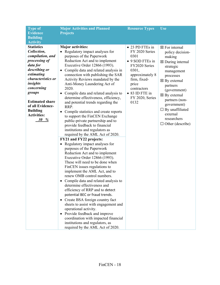| <b>Type of</b>                                                                                                                                     | <b>Major Activities and Planned</b>                                                                                                                                                                                                                                                                                                                                                                                                                                                                                                                                                                                                                                                                                                    | <b>Resource Types</b>                                                                                                     | Use                                                                                                                                                                  |
|----------------------------------------------------------------------------------------------------------------------------------------------------|----------------------------------------------------------------------------------------------------------------------------------------------------------------------------------------------------------------------------------------------------------------------------------------------------------------------------------------------------------------------------------------------------------------------------------------------------------------------------------------------------------------------------------------------------------------------------------------------------------------------------------------------------------------------------------------------------------------------------------------|---------------------------------------------------------------------------------------------------------------------------|----------------------------------------------------------------------------------------------------------------------------------------------------------------------|
| <b>Evidence</b><br><b>Building</b>                                                                                                                 | <b>Projects</b>                                                                                                                                                                                                                                                                                                                                                                                                                                                                                                                                                                                                                                                                                                                        |                                                                                                                           |                                                                                                                                                                      |
| <b>Activity</b>                                                                                                                                    |                                                                                                                                                                                                                                                                                                                                                                                                                                                                                                                                                                                                                                                                                                                                        |                                                                                                                           |                                                                                                                                                                      |
| <b>Statistics</b><br>Collection,<br>compilation, and<br>processing of<br>data for<br>describing or<br>estimating<br>characteristics or<br>insights | <b>Major activities:</b><br>Regulatory impact analyses for<br>$\bullet$<br>purposes of the Paperwork<br>Reduction Act and to implement<br>Executive Order 12866 (1993).<br>Compile data and related analysis in<br>connection with publishing the SAR<br>Activity Reviews mandated by the                                                                                                                                                                                                                                                                                                                                                                                                                                              | • 23 PD FTEs in<br>FY 2020 Series<br>0301<br>• 9 SOD FTEs in<br>FY2020 Series<br>0301,<br>approximately 8<br>firm, fixed- | $\boxtimes$ For internal<br>policy decision-<br>making<br>$\boxtimes$ During internal<br>strategic<br>management<br>processes<br>$\boxtimes$ By external             |
| concerning<br>groups<br><b>Estimated share</b><br>of all Evidence-<br><b>Building</b><br><b>Activities:</b><br>%<br>30                             | Anti-Money Laundering Act of<br>2020.<br>Compile data and related analysis to<br>determine effectiveness, efficiency,<br>and potential trends regarding the<br>RRP.<br>Compile statistics and create reports<br>to support the FinCEN Exchange<br>public-private partnership and to<br>provide feedback to financial<br>institutions and regulators as<br>required by the AML Act of 2020.                                                                                                                                                                                                                                                                                                                                             | price<br>contractors<br>• 83 ID FTE in<br>FY 2020, Series<br>0132                                                         | partners<br>(government)<br>$\boxtimes$ By external<br>partners (non-<br>government)<br>$\Box$ By unaffiliated<br>external<br>researchers<br>$\Box$ Other (describe) |
|                                                                                                                                                    | FY21 and FY22 projects:<br>Regulatory impact analyses for<br>$\bullet$<br>purposes of the Paperwork<br>Reduction Act and to implement<br>Executive Order 12866 (1993).<br>These will need to be done when<br>FinCEN issues regulations to<br>implement the AML Act, and to<br>renew OMB control numbers.<br>Compile data and related analysis to<br>٠<br>determine effectiveness and<br>efficiency of RRP and to detect<br>potential BEC or fraud trends.<br>Create BSA foreign country fact<br>$\bullet$<br>sheets to assist with engagement and<br>operational activity.<br>Provide feedback and improve<br>$\bullet$<br>coordination with impacted financial<br>institutions and regulators, as<br>required by the AML Act of 2020. |                                                                                                                           |                                                                                                                                                                      |